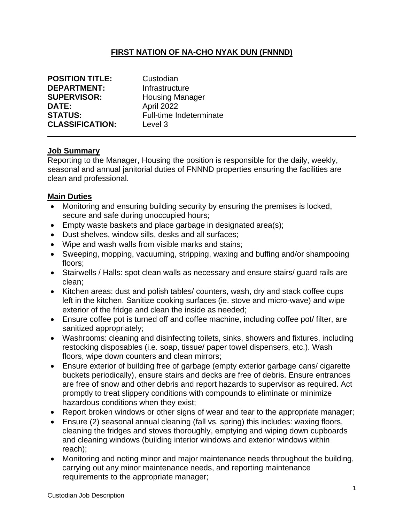# **FIRST NATION OF NA-CHO NYAK DUN (FNNND)**

| <b>POSITION TITLE:</b> | Custodian               |
|------------------------|-------------------------|
| <b>DEPARTMENT:</b>     | Infrastructure          |
| <b>SUPERVISOR:</b>     | <b>Housing Manager</b>  |
| DATE:                  | April 2022              |
| <b>STATUS:</b>         | Full-time Indeterminate |
| <b>CLASSIFICATION:</b> | Level 3                 |

#### **Job Summary**

Reporting to the Manager, Housing the position is responsible for the daily, weekly, seasonal and annual janitorial duties of FNNND properties ensuring the facilities are clean and professional.

#### **Main Duties**

- Monitoring and ensuring building security by ensuring the premises is locked, secure and safe during unoccupied hours;
- Empty waste baskets and place garbage in designated area(s);
- Dust shelves, window sills, desks and all surfaces;
- Wipe and wash walls from visible marks and stains;
- Sweeping, mopping, vacuuming, stripping, waxing and buffing and/or shampooing floors;
- Stairwells / Halls: spot clean walls as necessary and ensure stairs/ guard rails are clean;
- Kitchen areas: dust and polish tables/ counters, wash, dry and stack coffee cups left in the kitchen. Sanitize cooking surfaces (ie. stove and micro-wave) and wipe exterior of the fridge and clean the inside as needed;
- Ensure coffee pot is turned off and coffee machine, including coffee pot/ filter, are sanitized appropriately;
- Washrooms: cleaning and disinfecting toilets, sinks, showers and fixtures, including restocking disposables (i.e. soap, tissue/ paper towel dispensers, etc.). Wash floors, wipe down counters and clean mirrors;
- Ensure exterior of building free of garbage (empty exterior garbage cans/ cigarette buckets periodically), ensure stairs and decks are free of debris. Ensure entrances are free of snow and other debris and report hazards to supervisor as required. Act promptly to treat slippery conditions with compounds to eliminate or minimize hazardous conditions when they exist;
- Report broken windows or other signs of wear and tear to the appropriate manager;
- Ensure (2) seasonal annual cleaning (fall vs. spring) this includes: waxing floors, cleaning the fridges and stoves thoroughly, emptying and wiping down cupboards and cleaning windows (building interior windows and exterior windows within reach);
- Monitoring and noting minor and major maintenance needs throughout the building, carrying out any minor maintenance needs, and reporting maintenance requirements to the appropriate manager;